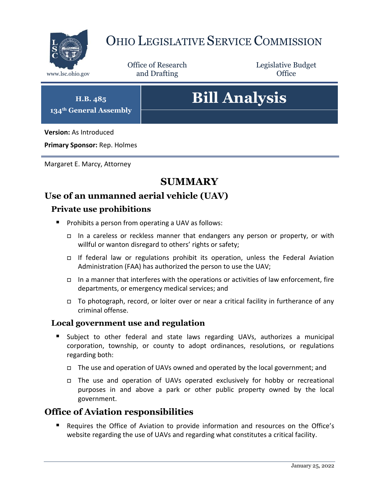

## OHIO LEGISLATIVE SERVICE COMMISSION

Office of Research www.lsc.ohio.gov **and Drafting Office** 

Legislative Budget

**H.B. 485 134th General Assembly**

# **Bill Analysis**

**Version:** As Introduced

**Primary Sponsor:** Rep. Holmes

Margaret E. Marcy, Attorney

### **SUMMARY**

### **Use of an unmanned aerial vehicle (UAV)**

#### **Private use prohibitions**

- **Prohibits a person from operating a UAV as follows:** 
	- In a careless or reckless manner that endangers any person or property, or with willful or wanton disregard to others' rights or safety;
	- If federal law or regulations prohibit its operation, unless the Federal Aviation Administration (FAA) has authorized the person to use the UAV;
	- $\Box$  In a manner that interferes with the operations or activities of law enforcement, fire departments, or emergency medical services; and
	- $\Box$  To photograph, record, or loiter over or near a critical facility in furtherance of any criminal offense.

#### **Local government use and regulation**

- **Subject to other federal and state laws regarding UAVs, authorizes a municipal** corporation, township, or county to adopt ordinances, resolutions, or regulations regarding both:
	- The use and operation of UAVs owned and operated by the local government; and
	- The use and operation of UAVs operated exclusively for hobby or recreational purposes in and above a park or other public property owned by the local government.

#### **Office of Aviation responsibilities**

 Requires the Office of Aviation to provide information and resources on the Office's website regarding the use of UAVs and regarding what constitutes a critical facility.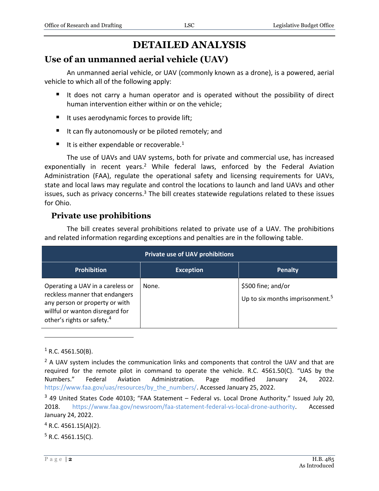### **DETAILED ANALYSIS**

### **Use of an unmanned aerial vehicle (UAV)**

An unmanned aerial vehicle, or UAV (commonly known as a drone), is a powered, aerial vehicle to which all of the following apply:

- It does not carry a human operator and is operated without the possibility of direct human intervention either within or on the vehicle;
- It uses aerodynamic forces to provide lift;
- It can fly autonomously or be piloted remotely; and
- It is either expendable or recoverable.<sup>1</sup>

The use of UAVs and UAV systems, both for private and commercial use, has increased exponentially in recent years.<sup>2</sup> While federal laws, enforced by the Federal Aviation Administration (FAA), regulate the operational safety and licensing requirements for UAVs, state and local laws may regulate and control the locations to launch and land UAVs and other issues, such as privacy concerns.<sup>3</sup> The bill creates statewide regulations related to these issues for Ohio.

### **Private use prohibitions**

The bill creates several prohibitions related to private use of a UAV. The prohibitions and related information regarding exceptions and penalties are in the following table.

| <b>Private use of UAV prohibitions</b>                                                                                                                                            |                  |                                                                   |  |
|-----------------------------------------------------------------------------------------------------------------------------------------------------------------------------------|------------------|-------------------------------------------------------------------|--|
| <b>Prohibition</b>                                                                                                                                                                | <b>Exception</b> | <b>Penalty</b>                                                    |  |
| Operating a UAV in a careless or<br>reckless manner that endangers<br>any person or property or with<br>willful or wanton disregard for<br>other's rights or safety. <sup>4</sup> | None.            | \$500 fine; and/or<br>Up to six months imprisonment. <sup>5</sup> |  |

 $1$  R.C. 4561.50(B).

 $\overline{a}$ 

 $4$  R.C. 4561.15(A)(2).

 $5$  R.C. 4561.15(C).

 $<sup>2</sup>$  A UAV system includes the communication links and components that control the UAV and that are</sup> required for the remote pilot in command to operate the vehicle. R.C. 4561.50(C). "UAS by the Numbers." Federal Aviation Administration. Page modified January 24, 2022. [https://www.faa.gov/uas/resources/by\\_the\\_numbers/.](https://www.faa.gov/uas/resources/by_the_numbers/) Accessed January 25, 2022.

<sup>&</sup>lt;sup>3</sup> 49 United States Code 40103; "FAA Statement – Federal vs. Local Drone Authority." Issued July 20, 2018. [https://www.faa.gov/newsroom/faa-statement-federal-vs-local-drone-authority.](https://www.faa.gov/newsroom/faa-statement-federal-vs-local-drone-authority) Accessed January 24, 2022.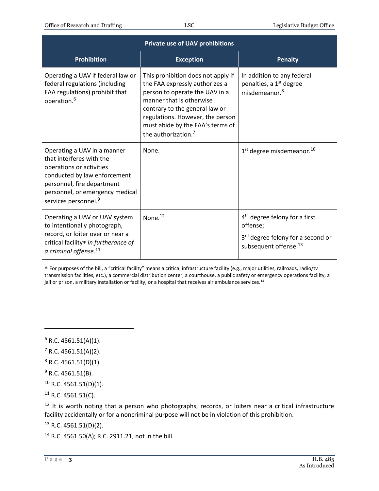| <b>Private use of UAV prohibitions</b>                                                                                                                                                                                   |                                                                                                                                                                                                                                                                                 |                                                                                                                                             |  |
|--------------------------------------------------------------------------------------------------------------------------------------------------------------------------------------------------------------------------|---------------------------------------------------------------------------------------------------------------------------------------------------------------------------------------------------------------------------------------------------------------------------------|---------------------------------------------------------------------------------------------------------------------------------------------|--|
| <b>Prohibition</b>                                                                                                                                                                                                       | <b>Exception</b>                                                                                                                                                                                                                                                                | <b>Penalty</b>                                                                                                                              |  |
| Operating a UAV if federal law or<br>federal regulations (including<br>FAA regulations) prohibit that<br>operation. <sup>6</sup>                                                                                         | This prohibition does not apply if<br>the FAA expressly authorizes a<br>person to operate the UAV in a<br>manner that is otherwise<br>contrary to the general law or<br>regulations. However, the person<br>must abide by the FAA's terms of<br>the authorization. <sup>7</sup> | In addition to any federal<br>penalties, a 1 <sup>st</sup> degree<br>misdemeanor. <sup>8</sup>                                              |  |
| Operating a UAV in a manner<br>that interferes with the<br>operations or activities<br>conducted by law enforcement<br>personnel, fire department<br>personnel, or emergency medical<br>services personnel. <sup>9</sup> | None.                                                                                                                                                                                                                                                                           | 1 <sup>st</sup> degree misdemeanor. <sup>10</sup>                                                                                           |  |
| Operating a UAV or UAV system<br>to intentionally photograph,<br>record, or loiter over or near a<br>critical facility* in furtherance of<br>a criminal offense. <sup>11</sup>                                           | None. <sup>12</sup>                                                                                                                                                                                                                                                             | 4 <sup>th</sup> degree felony for a first<br>offense;<br>3 <sup>rd</sup> degree felony for a second or<br>subsequent offense. <sup>13</sup> |  |

 For purposes of the bill, a "critical facility" means a critical infrastructure facility (e.g., major utilities, railroads, radio/tv transmission facilities, etc.), a commercial distribution center, a courthouse, a public safety or emergency operations facility, a jail or prison, a military installation or facility, or a hospital that receives air ambulance services.<sup>14</sup>

 $\overline{a}$ 

- $7 R.C. 4561.51(A)(2)$ .
- $8$  R.C. 4561.51(D)(1).
- $9$  R.C. 4561.51(B).
- $10$  R.C. 4561.51(D)(1).
- $11$  R.C. 4561.51(C).

<sup>12</sup> It is worth noting that a person who photographs, records, or loiters near a critical infrastructure facility accidentally or for a noncriminal purpose will not be in violation of this prohibition.

 $13$  R.C. 4561.51(D)(2).

<sup>14</sup> R.C. 4561.50(A); R.C. 2911.21, not in the bill.

 $6$  R.C. 4561.51(A)(1).